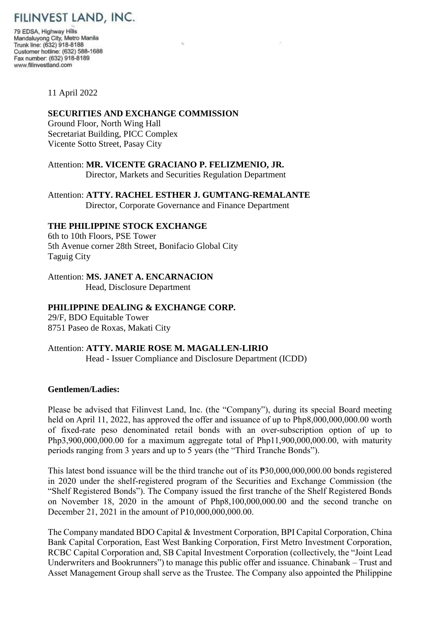

79 EDSA, Highway Hills Mandaluyong City, Metro Manila Trunk line: (632) 918-8188 Customer hotline: (632) 588-1688 Fax number: (632) 918-8189 www.filinvestland.com

#### 11 April 2022

# **SECURITIES AND EXCHANGE COMMISSION**

Ground Floor, North Wing Hall Secretariat Building, PICC Complex Vicente Sotto Street, Pasay City

Attention: **MR. VICENTE GRACIANO P. FELIZMENIO, JR.** Director, Markets and Securities Regulation Department

Attention: **ATTY. RACHEL ESTHER J. GUMTANG-REMALANTE** Director, Corporate Governance and Finance Department

#### **THE PHILIPPINE STOCK EXCHANGE**

6th to 10th Floors, PSE Tower 5th Avenue corner 28th Street, Bonifacio Global City Taguig City

## Attention: **MS. JANET A. ENCARNACION**

Head, Disclosure Department

## **PHILIPPINE DEALING & EXCHANGE CORP.**

29/F, BDO Equitable Tower 8751 Paseo de Roxas, Makati City

## Attention: **ATTY. MARIE ROSE M. MAGALLEN-LIRIO** Head - Issuer Compliance and Disclosure Department (ICDD)

# **Gentlemen/Ladies:**

Please be advised that Filinvest Land, Inc. (the "Company"), during its special Board meeting held on April 11, 2022, has approved the offer and issuance of up to Php8,000,000,000.00 worth of fixed-rate peso denominated retail bonds with an over-subscription option of up to Php3,900,000,000.00 for a maximum aggregate total of Php11,900,000,000.00, with maturity periods ranging from 3 years and up to 5 years (the "Third Tranche Bonds").

This latest bond issuance will be the third tranche out of its ₱30,000,000,000.00 bonds registered in 2020 under the shelf-registered program of the Securities and Exchange Commission (the "Shelf Registered Bonds"). The Company issued the first tranche of the Shelf Registered Bonds on November 18, 2020 in the amount of Php8,100,000,000.00 and the second tranche on December 21, 2021 in the amount of P10,000,000,000.00.

The Company mandated BDO Capital & Investment Corporation, BPI Capital Corporation, China Bank Capital Corporation, East West Banking Corporation, First Metro Investment Corporation, RCBC Capital Corporation and, SB Capital Investment Corporation (collectively, the "Joint Lead Underwriters and Bookrunners") to manage this public offer and issuance. Chinabank – Trust and Asset Management Group shall serve as the Trustee. The Company also appointed the Philippine